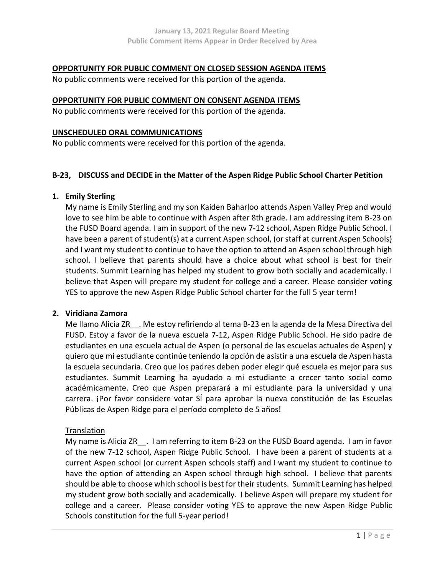#### OPPORTUNITY FOR PUBLIC COMMENT ON CLOSED SESSION AGENDA ITEMS

No public comments were received for this portion of the agenda.

#### OPPORTUNITY FOR PUBLIC COMMENT ON CONSENT AGENDA ITEMS

No public comments were received for this portion of the agenda.

#### UNSCHEDULED ORAL COMMUNICATIONS

No public comments were received for this portion of the agenda.

#### B-23, DISCUSS and DECIDE in the Matter of the Aspen Ridge Public School Charter Petition

#### 1. Emily Sterling

My name is Emily Sterling and my son Kaiden Baharloo attends Aspen Valley Prep and would love to see him be able to continue with Aspen after 8th grade. I am addressing item B-23 on the FUSD Board agenda. I am in support of the new 7-12 school, Aspen Ridge Public School. I have been a parent of student(s) at a current Aspen school, (or staff at current Aspen Schools) and I want my student to continue to have the option to attend an Aspen school through high school. I believe that parents should have a choice about what school is best for their students. Summit Learning has helped my student to grow both socially and academically. I believe that Aspen will prepare my student for college and a career. Please consider voting YES to approve the new Aspen Ridge Public School charter for the full 5 year term!

# 2. Viridiana Zamora

Me llamo Alicia ZR\_\_. Me estoy refiriendo al tema B-23 en la agenda de la Mesa Directiva del FUSD. Estoy a favor de la nueva escuela 7-12, Aspen Ridge Public School. He sido padre de estudiantes en una escuela actual de Aspen (o personal de las escuelas actuales de Aspen) y quiero que mi estudiante continúe teniendo la opción de asistir a una escuela de Aspen hasta la escuela secundaria. Creo que los padres deben poder elegir qué escuela es mejor para sus estudiantes. Summit Learning ha ayudado a mi estudiante a crecer tanto social como académicamente. Creo que Aspen preparará a mi estudiante para la universidad y una carrera. ¡Por favor considere votar SÍ para aprobar la nueva constitución de las Escuelas Públicas de Aspen Ridge para el período completo de 5 años!

## Translation

My name is Alicia ZR . I am referring to item B-23 on the FUSD Board agenda. I am in favor of the new 7-12 school, Aspen Ridge Public School. I have been a parent of students at a current Aspen school (or current Aspen schools staff) and I want my student to continue to have the option of attending an Aspen school through high school. I believe that parents should be able to choose which school is best for their students. Summit Learning has helped my student grow both socially and academically. I believe Aspen will prepare my student for college and a career. Please consider voting YES to approve the new Aspen Ridge Public Schools constitution for the full 5-year period!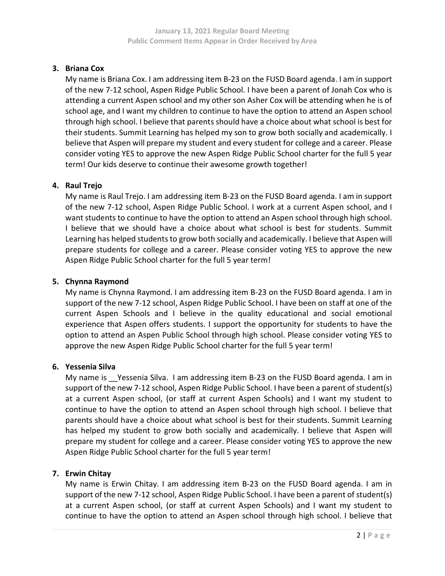# 3. Briana Cox

My name is Briana Cox. I am addressing item B-23 on the FUSD Board agenda. I am in support of the new 7-12 school, Aspen Ridge Public School. I have been a parent of Jonah Cox who is attending a current Aspen school and my other son Asher Cox will be attending when he is of school age, and I want my children to continue to have the option to attend an Aspen school through high school. I believe that parents should have a choice about what school is best for their students. Summit Learning has helped my son to grow both socially and academically. I believe that Aspen will prepare my student and every student for college and a career. Please consider voting YES to approve the new Aspen Ridge Public School charter for the full 5 year term! Our kids deserve to continue their awesome growth together!

# 4. Raul Trejo

My name is Raul Trejo. I am addressing item B-23 on the FUSD Board agenda. I am in support of the new 7-12 school, Aspen Ridge Public School. I work at a current Aspen school, and I want students to continue to have the option to attend an Aspen school through high school. I believe that we should have a choice about what school is best for students. Summit Learning has helped students to grow both socially and academically. I believe that Aspen will prepare students for college and a career. Please consider voting YES to approve the new Aspen Ridge Public School charter for the full 5 year term!

# 5. Chynna Raymond

My name is Chynna Raymond. I am addressing item B-23 on the FUSD Board agenda. I am in support of the new 7-12 school, Aspen Ridge Public School. I have been on staff at one of the current Aspen Schools and I believe in the quality educational and social emotional experience that Aspen offers students. I support the opportunity for students to have the option to attend an Aspen Public School through high school. Please consider voting YES to approve the new Aspen Ridge Public School charter for the full 5 year term!

## 6. Yessenia Silva

My name is Tessenia Silva. I am addressing item B-23 on the FUSD Board agenda. I am in support of the new 7-12 school, Aspen Ridge Public School. I have been a parent of student(s) at a current Aspen school, (or staff at current Aspen Schools) and I want my student to continue to have the option to attend an Aspen school through high school. I believe that parents should have a choice about what school is best for their students. Summit Learning has helped my student to grow both socially and academically. I believe that Aspen will prepare my student for college and a career. Please consider voting YES to approve the new Aspen Ridge Public School charter for the full 5 year term!

## 7. Erwin Chitay

My name is Erwin Chitay. I am addressing item B-23 on the FUSD Board agenda. I am in support of the new 7-12 school, Aspen Ridge Public School. I have been a parent of student(s) at a current Aspen school, (or staff at current Aspen Schools) and I want my student to continue to have the option to attend an Aspen school through high school. I believe that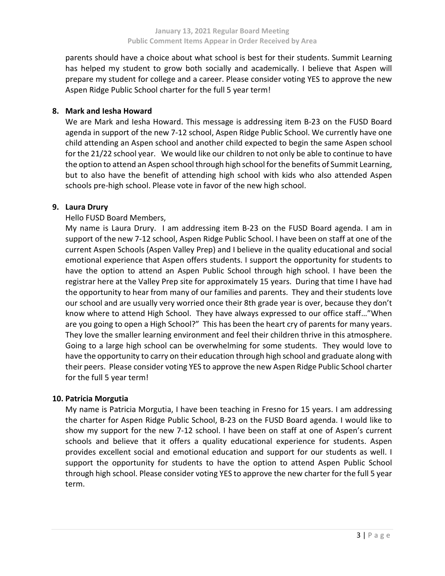parents should have a choice about what school is best for their students. Summit Learning has helped my student to grow both socially and academically. I believe that Aspen will prepare my student for college and a career. Please consider voting YES to approve the new Aspen Ridge Public School charter for the full 5 year term!

#### 8. Mark and Iesha Howard

We are Mark and Iesha Howard. This message is addressing item B-23 on the FUSD Board agenda in support of the new 7-12 school, Aspen Ridge Public School. We currently have one child attending an Aspen school and another child expected to begin the same Aspen school for the 21/22 school year. We would like our children to not only be able to continue to have the option to attend an Aspen school through high school for the benefits of Summit Learning, but to also have the benefit of attending high school with kids who also attended Aspen schools pre-high school. Please vote in favor of the new high school.

#### 9. Laura Drury

Hello FUSD Board Members,

My name is Laura Drury. I am addressing item B-23 on the FUSD Board agenda. I am in support of the new 7-12 school, Aspen Ridge Public School. I have been on staff at one of the current Aspen Schools (Aspen Valley Prep) and I believe in the quality educational and social emotional experience that Aspen offers students. I support the opportunity for students to have the option to attend an Aspen Public School through high school. I have been the registrar here at the Valley Prep site for approximately 15 years. During that time I have had the opportunity to hear from many of our families and parents. They and their students love our school and are usually very worried once their 8th grade year is over, because they don't know where to attend High School. They have always expressed to our office staff…"When are you going to open a High School?" This has been the heart cry of parents for many years. They love the smaller learning environment and feel their children thrive in this atmosphere. Going to a large high school can be overwhelming for some students. They would love to have the opportunity to carry on their education through high school and graduate along with their peers. Please consider voting YES to approve the new Aspen Ridge Public School charter for the full 5 year term!

## 10. Patricia Morgutia

My name is Patricia Morgutia, I have been teaching in Fresno for 15 years. I am addressing the charter for Aspen Ridge Public School, B-23 on the FUSD Board agenda. I would like to show my support for the new 7-12 school. I have been on staff at one of Aspen's current schools and believe that it offers a quality educational experience for students. Aspen provides excellent social and emotional education and support for our students as well. I support the opportunity for students to have the option to attend Aspen Public School through high school. Please consider voting YES to approve the new charter for the full 5 year term.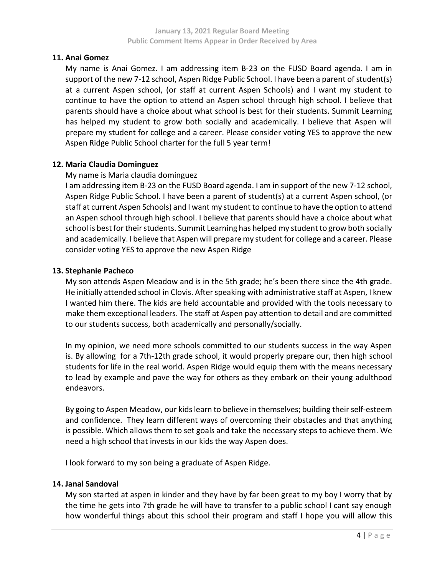## 11. Anai Gomez

My name is Anai Gomez. I am addressing item B-23 on the FUSD Board agenda. I am in support of the new 7-12 school, Aspen Ridge Public School. I have been a parent of student(s) at a current Aspen school, (or staff at current Aspen Schools) and I want my student to continue to have the option to attend an Aspen school through high school. I believe that parents should have a choice about what school is best for their students. Summit Learning has helped my student to grow both socially and academically. I believe that Aspen will prepare my student for college and a career. Please consider voting YES to approve the new Aspen Ridge Public School charter for the full 5 year term!

## 12. Maria Claudia Dominguez

#### My name is Maria claudia dominguez

I am addressing item B-23 on the FUSD Board agenda. I am in support of the new 7-12 school, Aspen Ridge Public School. I have been a parent of student(s) at a current Aspen school, (or staff at current Aspen Schools) and I want my student to continue to have the option to attend an Aspen school through high school. I believe that parents should have a choice about what school is best for their students. Summit Learning has helped my student to grow both socially and academically. I believe that Aspen will prepare my student for college and a career. Please consider voting YES to approve the new Aspen Ridge

#### 13. Stephanie Pacheco

My son attends Aspen Meadow and is in the 5th grade; he's been there since the 4th grade. He initially attended school in Clovis. After speaking with administrative staff at Aspen, I knew I wanted him there. The kids are held accountable and provided with the tools necessary to make them exceptional leaders. The staff at Aspen pay attention to detail and are committed to our students success, both academically and personally/socially.

In my opinion, we need more schools committed to our students success in the way Aspen is. By allowing for a 7th-12th grade school, it would properly prepare our, then high school students for life in the real world. Aspen Ridge would equip them with the means necessary to lead by example and pave the way for others as they embark on their young adulthood endeavors.

By going to Aspen Meadow, our kids learn to believe in themselves; building their self-esteem and confidence. They learn different ways of overcoming their obstacles and that anything is possible. Which allows them to set goals and take the necessary steps to achieve them. We need a high school that invests in our kids the way Aspen does.

I look forward to my son being a graduate of Aspen Ridge.

## 14. Janal Sandoval

My son started at aspen in kinder and they have by far been great to my boy I worry that by the time he gets into 7th grade he will have to transfer to a public school I cant say enough how wonderful things about this school their program and staff I hope you will allow this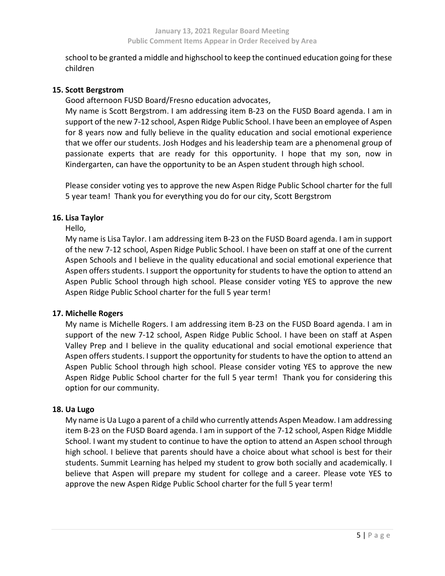school to be granted a middle and highschool to keep the continued education going for these children

## 15. Scott Bergstrom

Good afternoon FUSD Board/Fresno education advocates,

My name is Scott Bergstrom. I am addressing item B-23 on the FUSD Board agenda. I am in support of the new 7-12 school, Aspen Ridge Public School. I have been an employee of Aspen for 8 years now and fully believe in the quality education and social emotional experience that we offer our students. Josh Hodges and his leadership team are a phenomenal group of passionate experts that are ready for this opportunity. I hope that my son, now in Kindergarten, can have the opportunity to be an Aspen student through high school.

Please consider voting yes to approve the new Aspen Ridge Public School charter for the full 5 year team! Thank you for everything you do for our city, Scott Bergstrom

## 16. Lisa Taylor

Hello,

My name is Lisa Taylor. I am addressing item B-23 on the FUSD Board agenda. I am in support of the new 7-12 school, Aspen Ridge Public School. I have been on staff at one of the current Aspen Schools and I believe in the quality educational and social emotional experience that Aspen offers students. I support the opportunity for students to have the option to attend an Aspen Public School through high school. Please consider voting YES to approve the new Aspen Ridge Public School charter for the full 5 year term!

## 17. Michelle Rogers

My name is Michelle Rogers. I am addressing item B-23 on the FUSD Board agenda. I am in support of the new 7-12 school, Aspen Ridge Public School. I have been on staff at Aspen Valley Prep and I believe in the quality educational and social emotional experience that Aspen offers students. I support the opportunity for students to have the option to attend an Aspen Public School through high school. Please consider voting YES to approve the new Aspen Ridge Public School charter for the full 5 year term! Thank you for considering this option for our community.

## 18. Ua Lugo

My name is Ua Lugo a parent of a child who currently attends Aspen Meadow. I am addressing item B-23 on the FUSD Board agenda. I am in support of the 7-12 school, Aspen Ridge Middle School. I want my student to continue to have the option to attend an Aspen school through high school. I believe that parents should have a choice about what school is best for their students. Summit Learning has helped my student to grow both socially and academically. I believe that Aspen will prepare my student for college and a career. Please vote YES to approve the new Aspen Ridge Public School charter for the full 5 year term!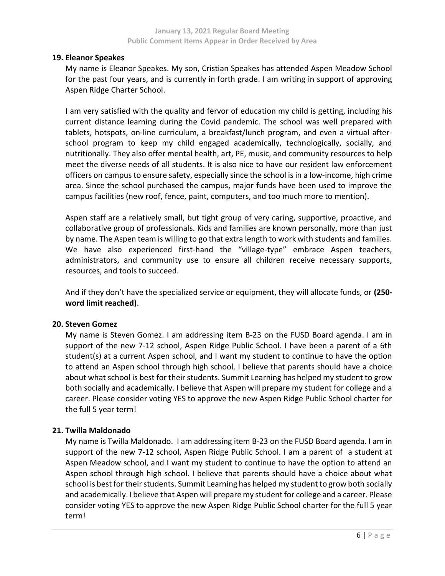#### 19. Eleanor Speakes

My name is Eleanor Speakes. My son, Cristian Speakes has attended Aspen Meadow School for the past four years, and is currently in forth grade. I am writing in support of approving Aspen Ridge Charter School.

I am very satisfied with the quality and fervor of education my child is getting, including his current distance learning during the Covid pandemic. The school was well prepared with tablets, hotspots, on-line curriculum, a breakfast/lunch program, and even a virtual afterschool program to keep my child engaged academically, technologically, socially, and nutritionally. They also offer mental health, art, PE, music, and community resources to help meet the diverse needs of all students. It is also nice to have our resident law enforcement officers on campus to ensure safety, especially since the school is in a low-income, high crime area. Since the school purchased the campus, major funds have been used to improve the campus facilities (new roof, fence, paint, computers, and too much more to mention).

Aspen staff are a relatively small, but tight group of very caring, supportive, proactive, and collaborative group of professionals. Kids and families are known personally, more than just by name. The Aspen team is willing to go that extra length to work with students and families. We have also experienced first-hand the "village-type" embrace Aspen teachers, administrators, and community use to ensure all children receive necessary supports, resources, and tools to succeed.

And if they don't have the specialized service or equipment, they will allocate funds, or (250word limit reached).

## 20. Steven Gomez

My name is Steven Gomez. I am addressing item B-23 on the FUSD Board agenda. I am in support of the new 7-12 school, Aspen Ridge Public School. I have been a parent of a 6th student(s) at a current Aspen school, and I want my student to continue to have the option to attend an Aspen school through high school. I believe that parents should have a choice about what school is best for their students. Summit Learning has helped my student to grow both socially and academically. I believe that Aspen will prepare my student for college and a career. Please consider voting YES to approve the new Aspen Ridge Public School charter for the full 5 year term!

## 21. Twilla Maldonado

My name is Twilla Maldonado. I am addressing item B-23 on the FUSD Board agenda. I am in support of the new 7-12 school, Aspen Ridge Public School. I am a parent of a student at Aspen Meadow school, and I want my student to continue to have the option to attend an Aspen school through high school. I believe that parents should have a choice about what school is best for their students. Summit Learning has helped my student to grow both socially and academically. I believe that Aspen will prepare my student for college and a career. Please consider voting YES to approve the new Aspen Ridge Public School charter for the full 5 year term!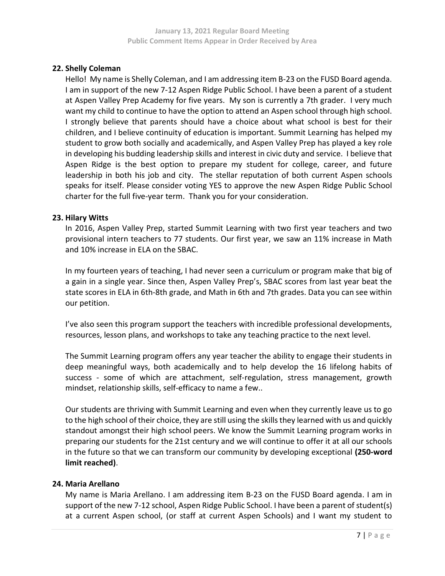#### 22. Shelly Coleman

Hello! My name is Shelly Coleman, and I am addressing item B-23 on the FUSD Board agenda. I am in support of the new 7-12 Aspen Ridge Public School. I have been a parent of a student at Aspen Valley Prep Academy for five years. My son is currently a 7th grader. I very much want my child to continue to have the option to attend an Aspen school through high school. I strongly believe that parents should have a choice about what school is best for their children, and I believe continuity of education is important. Summit Learning has helped my student to grow both socially and academically, and Aspen Valley Prep has played a key role in developing his budding leadership skills and interest in civic duty and service. I believe that Aspen Ridge is the best option to prepare my student for college, career, and future leadership in both his job and city. The stellar reputation of both current Aspen schools speaks for itself. Please consider voting YES to approve the new Aspen Ridge Public School charter for the full five-year term. Thank you for your consideration.

#### 23. Hilary Witts

In 2016, Aspen Valley Prep, started Summit Learning with two first year teachers and two provisional intern teachers to 77 students. Our first year, we saw an 11% increase in Math and 10% increase in ELA on the SBAC.

In my fourteen years of teaching, I had never seen a curriculum or program make that big of a gain in a single year. Since then, Aspen Valley Prep's, SBAC scores from last year beat the state scores in ELA in 6th-8th grade, and Math in 6th and 7th grades. Data you can see within our petition.

I've also seen this program support the teachers with incredible professional developments, resources, lesson plans, and workshops to take any teaching practice to the next level.

The Summit Learning program offers any year teacher the ability to engage their students in deep meaningful ways, both academically and to help develop the 16 lifelong habits of success - some of which are attachment, self-regulation, stress management, growth mindset, relationship skills, self-efficacy to name a few..

Our students are thriving with Summit Learning and even when they currently leave us to go to the high school of their choice, they are still using the skills they learned with us and quickly standout amongst their high school peers. We know the Summit Learning program works in preparing our students for the 21st century and we will continue to offer it at all our schools in the future so that we can transform our community by developing exceptional (250-word limit reached).

## 24. Maria Arellano

My name is Maria Arellano. I am addressing item B-23 on the FUSD Board agenda. I am in support of the new 7-12 school, Aspen Ridge Public School. I have been a parent of student(s) at a current Aspen school, (or staff at current Aspen Schools) and I want my student to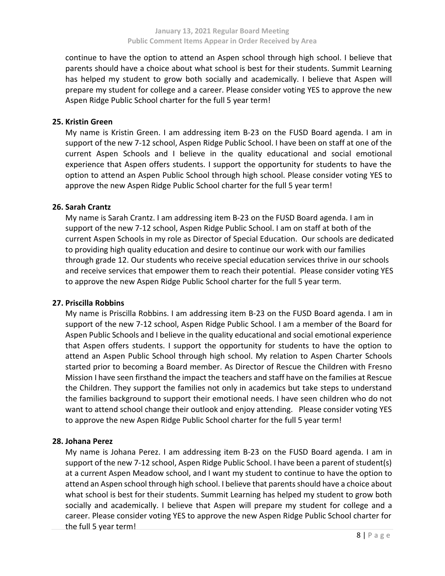continue to have the option to attend an Aspen school through high school. I believe that parents should have a choice about what school is best for their students. Summit Learning has helped my student to grow both socially and academically. I believe that Aspen will prepare my student for college and a career. Please consider voting YES to approve the new Aspen Ridge Public School charter for the full 5 year term!

#### **25.** Kristin Green

My name is Kristin Green. I am addressing item B-23 on the FUSD Board agenda. I am in support of the new 7-12 school, Aspen Ridge Public School. I have been on staff at one of the current Aspen Schools and I believe in the quality educational and social emotional experience that Aspen offers students. I support the opportunity for students to have the option to attend an Aspen Public School through high school. Please consider voting YES to approve the new Aspen Ridge Public School charter for the full 5 year term!

#### **26.** Sarah Crantz

My name is Sarah Crantz. I am addressing item B-23 on the FUSD Board agenda. I am in support of the new 7-12 school, Aspen Ridge Public School. I am on staff at both of the current Aspen Schools in my role as Director of Special Education. Our schools are dedicated to providing high quality education and desire to continue our work with our families through grade 12. Our students who receive special education services thrive in our schools and receive services that empower them to reach their potential. Please consider voting YES to approve the new Aspen Ridge Public School charter for the full 5 year term.

#### **27.** Priscilla Robbins

My name is Priscilla Robbins. I am addressing item B-23 on the FUSD Board agenda. I am in support of the new 7-12 school, Aspen Ridge Public School. I am a member of the Board for Aspen Public Schools and I believe in the quality educational and social emotional experience that Aspen offers students. I support the opportunity for students to have the option to attend an Aspen Public School through high school. My relation to Aspen Charter Schools started prior to becoming a Board member. As Director of Rescue the Children with Fresno Mission I have seen firsthand the impact the teachers and staff have on the families at Rescue the Children. They support the families not only in academics but take steps to understand the families background to support their emotional needs. I have seen children who do not want to attend school change their outlook and enjoy attending. Please consider voting YES to approve the new Aspen Ridge Public School charter for the full 5 year term!

#### **28.** Johana Perez

My name is Johana Perez. I am addressing item B-23 on the FUSD Board agenda. I am in support of the new 7-12 school, Aspen Ridge Public School. I have been a parent of student(s) at a current Aspen Meadow school, and I want my student to continue to have the option to attend an Aspen school through high school. I believe that parents should have a choice about what school is best for their students. Summit Learning has helped my student to grow both socially and academically. I believe that Aspen will prepare my student for college and a career. Please consider voting YES to approve the new Aspen Ridge Public School charter for the full 5 year term!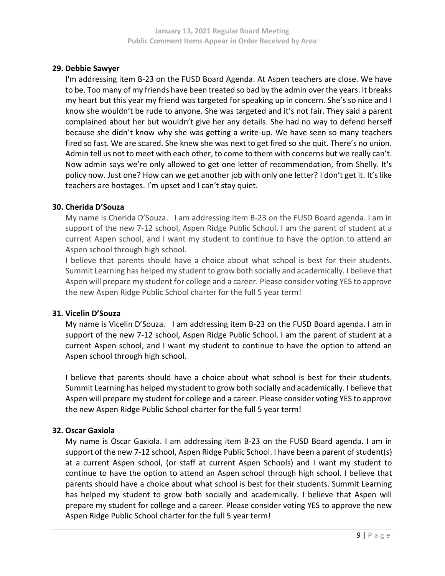#### 29. Debbie Sawyer

I'm addressing item B-23 on the FUSD Board Agenda. At Aspen teachers are close. We have to be. Too many of my friends have been treated so bad by the admin over the years. It breaks my heart but this year my friend was targeted for speaking up in concern. She's so nice and I know she wouldn't be rude to anyone. She was targeted and it's not fair. They said a parent complained about her but wouldn't give her any details. She had no way to defend herself because she didn't know why she was getting a write-up. We have seen so many teachers fired so fast. We are scared. She knew she was next to get fired so she quit. There's no union. Admin tell us not to meet with each other, to come to them with concerns but we really can't. Now admin says we're only allowed to get one letter of recommendation, from Shelly. It's policy now. Just one? How can we get another job with only one letter? I don't get it. It's like teachers are hostages. I'm upset and I can't stay quiet.

#### 30. Cherida D'Souza

My name is Cherida D'Souza. I am addressing item B-23 on the FUSD Board agenda. I am in support of the new 7-12 school, Aspen Ridge Public School. I am the parent of student at a current Aspen school, and I want my student to continue to have the option to attend an Aspen school through high school.

I believe that parents should have a choice about what school is best for their students. Summit Learning has helped my student to grow both socially and academically. I believe that Aspen will prepare my student for college and a career. Please consider voting YES to approve the new Aspen Ridge Public School charter for the full 5 year term!

## 31. Vicelin D'Souza

My name is Vicelin D'Souza. I am addressing item B-23 on the FUSD Board agenda. I am in support of the new 7-12 school, Aspen Ridge Public School. I am the parent of student at a current Aspen school, and I want my student to continue to have the option to attend an Aspen school through high school.

I believe that parents should have a choice about what school is best for their students. Summit Learning has helped my student to grow both socially and academically. I believe that Aspen will prepare my student for college and a career. Please consider voting YES to approve the new Aspen Ridge Public School charter for the full 5 year term!

## 32. Oscar Gaxiola

My name is Oscar Gaxiola. I am addressing item B-23 on the FUSD Board agenda. I am in support of the new 7-12 school, Aspen Ridge Public School. I have been a parent of student(s) at a current Aspen school, (or staff at current Aspen Schools) and I want my student to continue to have the option to attend an Aspen school through high school. I believe that parents should have a choice about what school is best for their students. Summit Learning has helped my student to grow both socially and academically. I believe that Aspen will prepare my student for college and a career. Please consider voting YES to approve the new Aspen Ridge Public School charter for the full 5 year term!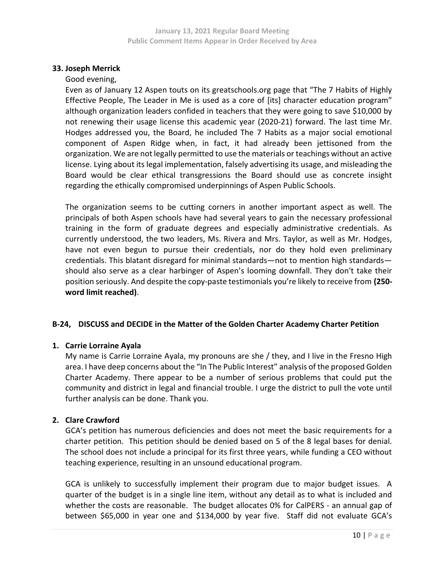## 33. Joseph Merrick

Good evening,

Even as of January 12 Aspen touts on its greatschools.org page that "The 7 Habits of Highly Effective People, The Leader in Me is used as a core of [its] character education program" although organization leaders confided in teachers that they were going to save \$10,000 by not renewing their usage license this academic year (2020-21) forward. The last time Mr. Hodges addressed you, the Board, he included The 7 Habits as a major social emotional component of Aspen Ridge when, in fact, it had already been jettisoned from the organization. We are not legally permitted to use the materials or teachings without an active license. Lying about its legal implementation, falsely advertising its usage, and misleading the Board would be clear ethical transgressions the Board should use as concrete insight regarding the ethically compromised underpinnings of Aspen Public Schools.

The organization seems to be cutting corners in another important aspect as well. The principals of both Aspen schools have had several years to gain the necessary professional training in the form of graduate degrees and especially administrative credentials. As currently understood, the two leaders, Ms. Rivera and Mrs. Taylor, as well as Mr. Hodges, have not even begun to pursue their credentials, nor do they hold even preliminary credentials. This blatant disregard for minimal standards—not to mention high standards should also serve as a clear harbinger of Aspen's looming downfall. They don't take their position seriously. And despite the copy-paste testimonials you're likely to receive from (250word limit reached).

# B-24, DISCUSS and DECIDE in the Matter of the Golden Charter Academy Charter Petition

## 1. Carrie Lorraine Ayala

My name is Carrie Lorraine Ayala, my pronouns are she / they, and I live in the Fresno High area. I have deep concerns about the "In The Public Interest" analysis of the proposed Golden Charter Academy. There appear to be a number of serious problems that could put the community and district in legal and financial trouble. I urge the district to pull the vote until further analysis can be done. Thank you.

# 2. Clare Crawford

GCA's petition has numerous deficiencies and does not meet the basic requirements for a charter petition. This petition should be denied based on 5 of the 8 legal bases for denial. The school does not include a principal for its first three years, while funding a CEO without teaching experience, resulting in an unsound educational program.

GCA is unlikely to successfully implement their program due to major budget issues. A quarter of the budget is in a single line item, without any detail as to what is included and whether the costs are reasonable. The budget allocates 0% for CalPERS - an annual gap of between \$65,000 in year one and \$134,000 by year five. Staff did not evaluate GCA's